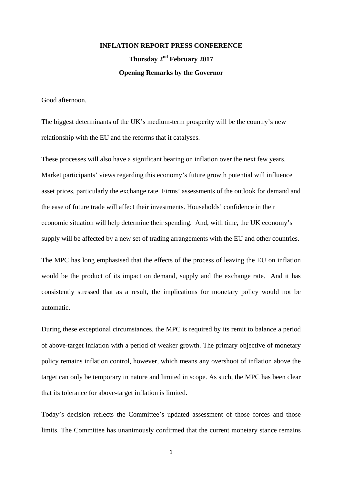# **INFLATION REPORT PRESS CONFERENCE Thursday 2nd February 2017 Opening Remarks by the Governor**

Good afternoon.

The biggest determinants of the UK's medium-term prosperity will be the country's new relationship with the EU and the reforms that it catalyses.

These processes will also have a significant bearing on inflation over the next few years. Market participants' views regarding this economy's future growth potential will influence asset prices, particularly the exchange rate. Firms' assessments of the outlook for demand and the ease of future trade will affect their investments. Households' confidence in their economic situation will help determine their spending. And, with time, the UK economy's supply will be affected by a new set of trading arrangements with the EU and other countries.

The MPC has long emphasised that the effects of the process of leaving the EU on inflation would be the product of its impact on demand, supply and the exchange rate. And it has consistently stressed that as a result, the implications for monetary policy would not be automatic.

During these exceptional circumstances, the MPC is required by its remit to balance a period of above-target inflation with a period of weaker growth. The primary objective of monetary policy remains inflation control, however, which means any overshoot of inflation above the target can only be temporary in nature and limited in scope. As such, the MPC has been clear that its tolerance for above-target inflation is limited.

Today's decision reflects the Committee's updated assessment of those forces and those limits. The Committee has unanimously confirmed that the current monetary stance remains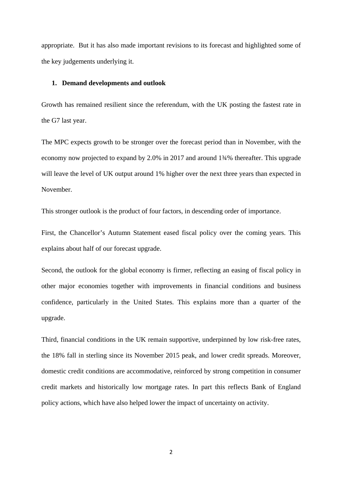appropriate. But it has also made important revisions to its forecast and highlighted some of the key judgements underlying it.

#### **1. Demand developments and outlook**

Growth has remained resilient since the referendum, with the UK posting the fastest rate in the G7 last year.

The MPC expects growth to be stronger over the forecast period than in November, with the economy now projected to expand by 2.0% in 2017 and around 1¾% thereafter. This upgrade will leave the level of UK output around 1% higher over the next three years than expected in November.

This stronger outlook is the product of four factors, in descending order of importance.

First, the Chancellor's Autumn Statement eased fiscal policy over the coming years. This explains about half of our forecast upgrade.

Second, the outlook for the global economy is firmer, reflecting an easing of fiscal policy in other major economies together with improvements in financial conditions and business confidence, particularly in the United States. This explains more than a quarter of the upgrade.

Third, financial conditions in the UK remain supportive, underpinned by low risk-free rates, the 18% fall in sterling since its November 2015 peak, and lower credit spreads. Moreover, domestic credit conditions are accommodative, reinforced by strong competition in consumer credit markets and historically low mortgage rates. In part this reflects Bank of England policy actions, which have also helped lower the impact of uncertainty on activity.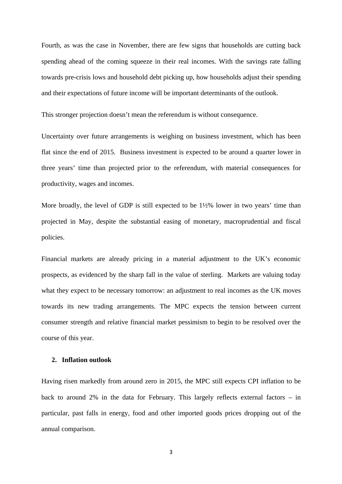Fourth, as was the case in November, there are few signs that households are cutting back spending ahead of the coming squeeze in their real incomes. With the savings rate falling towards pre-crisis lows and household debt picking up, how households adjust their spending and their expectations of future income will be important determinants of the outlook.

This stronger projection doesn't mean the referendum is without consequence.

Uncertainty over future arrangements is weighing on business investment, which has been flat since the end of 2015. Business investment is expected to be around a quarter lower in three years' time than projected prior to the referendum, with material consequences for productivity, wages and incomes.

More broadly, the level of GDP is still expected to be  $1\frac{1}{2}\%$  lower in two years' time than projected in May, despite the substantial easing of monetary, macroprudential and fiscal policies.

Financial markets are already pricing in a material adjustment to the UK's economic prospects, as evidenced by the sharp fall in the value of sterling. Markets are valuing today what they expect to be necessary tomorrow: an adjustment to real incomes as the UK moves towards its new trading arrangements. The MPC expects the tension between current consumer strength and relative financial market pessimism to begin to be resolved over the course of this year.

### **2. Inflation outlook**

Having risen markedly from around zero in 2015, the MPC still expects CPI inflation to be back to around 2% in the data for February. This largely reflects external factors – in particular, past falls in energy, food and other imported goods prices dropping out of the annual comparison.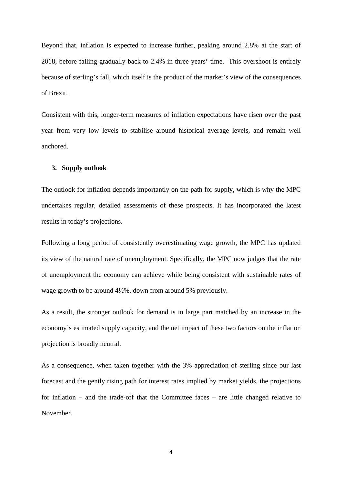Beyond that, inflation is expected to increase further, peaking around 2.8% at the start of 2018, before falling gradually back to 2.4% in three years' time. This overshoot is entirely because of sterling's fall, which itself is the product of the market's view of the consequences of Brexit.

Consistent with this, longer-term measures of inflation expectations have risen over the past year from very low levels to stabilise around historical average levels, and remain well anchored.

## **3. Supply outlook**

The outlook for inflation depends importantly on the path for supply, which is why the MPC undertakes regular, detailed assessments of these prospects. It has incorporated the latest results in today's projections.

Following a long period of consistently overestimating wage growth, the MPC has updated its view of the natural rate of unemployment. Specifically, the MPC now judges that the rate of unemployment the economy can achieve while being consistent with sustainable rates of wage growth to be around 4½%, down from around 5% previously.

As a result, the stronger outlook for demand is in large part matched by an increase in the economy's estimated supply capacity, and the net impact of these two factors on the inflation projection is broadly neutral.

As a consequence, when taken together with the 3% appreciation of sterling since our last forecast and the gently rising path for interest rates implied by market yields, the projections for inflation – and the trade-off that the Committee faces – are little changed relative to November.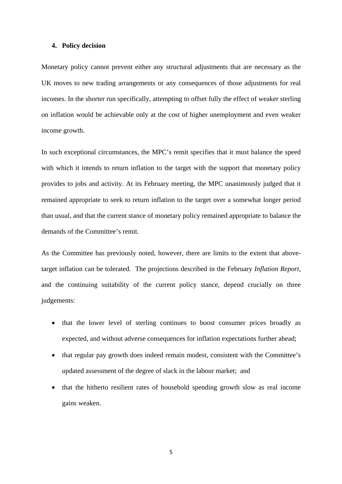#### **4. Policy decision**

Monetary policy cannot prevent either any structural adjustments that are necessary as the UK moves to new trading arrangements or any consequences of those adjustments for real incomes. In the shorter run specifically, attempting to offset fully the effect of weaker sterling on inflation would be achievable only at the cost of higher unemployment and even weaker income growth.

In such exceptional circumstances, the MPC's remit specifies that it must balance the speed with which it intends to return inflation to the target with the support that monetary policy provides to jobs and activity. At its February meeting, the MPC unanimously judged that it remained appropriate to seek to return inflation to the target over a somewhat longer period than usual, and that the current stance of monetary policy remained appropriate to balance the demands of the Committee's remit.

As the Committee has previously noted, however, there are limits to the extent that abovetarget inflation can be tolerated. The projections described in the February *Inflation Report*, and the continuing suitability of the current policy stance, depend crucially on three judgements:

- that the lower level of sterling continues to boost consumer prices broadly as expected, and without adverse consequences for inflation expectations further ahead;
- that regular pay growth does indeed remain modest, consistent with the Committee's updated assessment of the degree of slack in the labour market; and
- that the hitherto resilient rates of household spending growth slow as real income gains weaken.